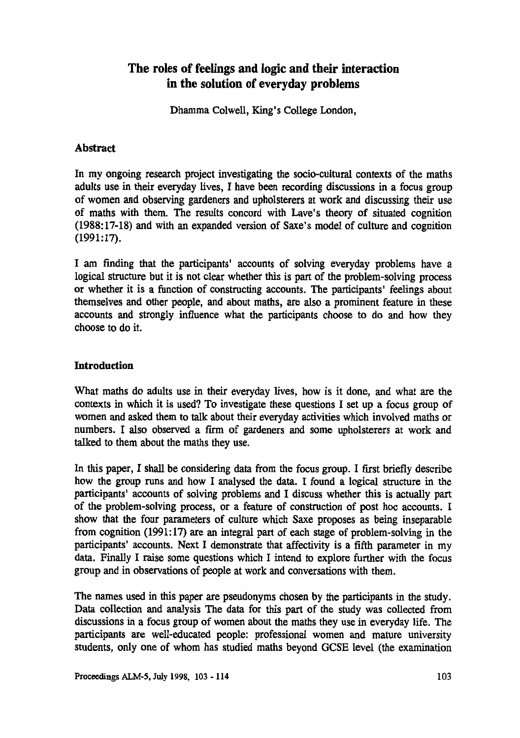# **The roles of feelings and logic and their interaction in the solution of everyday problems**

**Dhamma Colwell, King's College London,**

## **Abstract**

**In my ongoing research project investigating the socio-cultural contexts of the maths adults use in their everyday lives, I have been recording discussions in a focus group of women and observing gardeners and upholsterers at work and discussing their use of maths with them. The results concord with Lave's theory of situated cognition (1988:17-18) and with an expanded version of Saxe's model of culture and cognition (1991:17).**

**I am finding that the participants' accounts of solving everyday problems have a logical structure but it is not clear whether this is part of the problem-solving process or whether it is a function of constructing accounts. The participants' feelings about themselves and other people, and about maths, are also a prominent feature in these accounts and strongly influence what the participants choose to do and how they choose to do it.**

### **Introduction**

**What maths do adults use in their everyday lives, how is it done, and what are the contexts in which it is used? To investigate these questions I set up a focus group of women and asked them to talk about their everyday activities which involved maths or numbers. I also observed a firm of gardeners and some upholsterers at work and talked to them about the maths they use.**

**In this paper, I shall be considering data from the focus group. I first briefly describe how the group runs and how I analysed the data. I found a logical structure in the participants' accounts of solving problems and I discuss whether this is actually part of the problem-solving process, or a feature of construction of post hoc accounts. I show that the four parameters of culture which Saxe proposes as being inseparable from cognition (1991:17) are an integral part of each stage of problem-solving in the participants' accounts. Next I demonstrate that affectivity is a fifth parameter in my data. Finally I raise some questions which I intend to explore further with the focus group and in observations of people at work and conversations with them.**

**The names used in this paper are pseudonyms chosen by the participants in the study. Data collection and analysis The data for this part of the study was collected from discussions in a focus group of women about the maths they use in everyday life. The participants are well-educated people: professional women and mature university students, only one of whom has studied maths beyond GCSE level (the examination**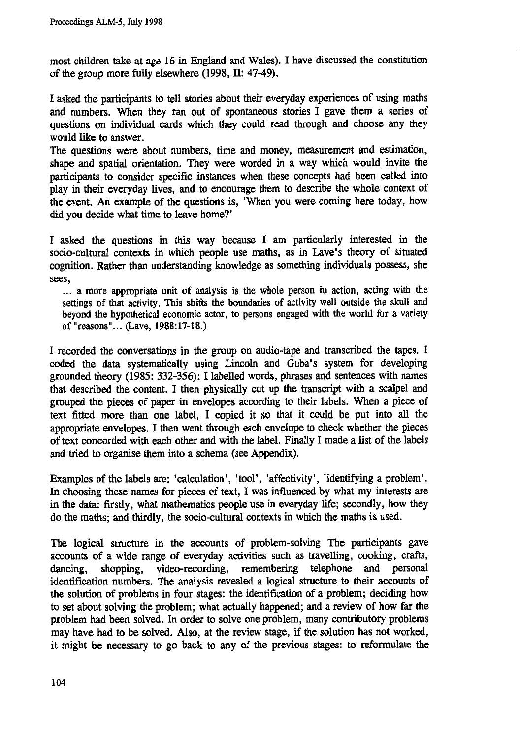**most children take at age 16 in England and Wales). I have discussed the constitution of the group more fully elsewhere (1998, II: 47-49).**

**I asked the participants to tell stories about their everyday experiences of using maths and numbers. When they ran out of spontaneous stories I gave them a series of questions on individual cards which they could read through and choose any they would like to answer.**

**The questions were about numbers, time and money, measurement and estimation, shape and spatial orientation. They were worded in a way which would invite the participants to consider specific instances when these concepts had been called into play in their everyday lives, and to encourage them to describe the whole context of the event. An example of the questions is, 'When you were coming here today, how did you decide what time to leave home?'**

**I asked the questions in this way because I am particularly interested in the socio-cultural contexts in which people use maths, as in Lave's theory of situated cognition. Rather than understanding knowledge as something individuals possess, she sees,**

**... a more appropriate unit** of analysis is the whole person in action, acting with the settings of that activity. This shifts the boundaries of activity well outside the skull and beyond the hypothetical economic actor, to persons engaged with the world for a variety of " reasons " ... (Lave, 1988:17-18.)

**I recorded the conversations in the group on audio-tape and transcribed the tapes. I coded the data systematically using Lincoln and Cuba's system for developing grounded theory (1985: 332-356): I labelled words, phrases and sentences with names that described the content. I then physically cut up the transcript with a scalpel and grouped the pieces of paper in envelopes according to their labels. When a piece of text fitted more than one label, I copied it so that it could be put into all the appropriate envelopes. I then went through each envelope to check whether the pieces of text concorded with each other and with the label. Finally I made a list of the labels and tried to organise them into a schema (see Appendix).**

**Examples of the labels are: 'calculation', 'tool' , 'affectivity', 'identifying a problem'. In choosing these names for pieces of text, I was influenced by what my interests are in the data: firstly, what mathematics people use in everyday life; secondly, how they do the maths; and thirdly, the socio-cultural contexts in which the maths is used.**

**The logical structure in the accounts of problem-solving The participants gave accounts of a wide range of everyday activities such as travelling, cooking, crafts, dancing, shopping, video-recording, remembering telephone and personal identification numbers. The analysis revealed a logical structure to their accounts of the solution of problems in four stages: the identification of a problem; deciding how to set about solving the problem; what actually happened; and a review of how far the problem had been solved. In order to solve one problem, many contributory problems may have had to be solved. Also, at the review stage, if the solution has not worked, it might be necessary to go back to any of the previous stages: to reformulate the**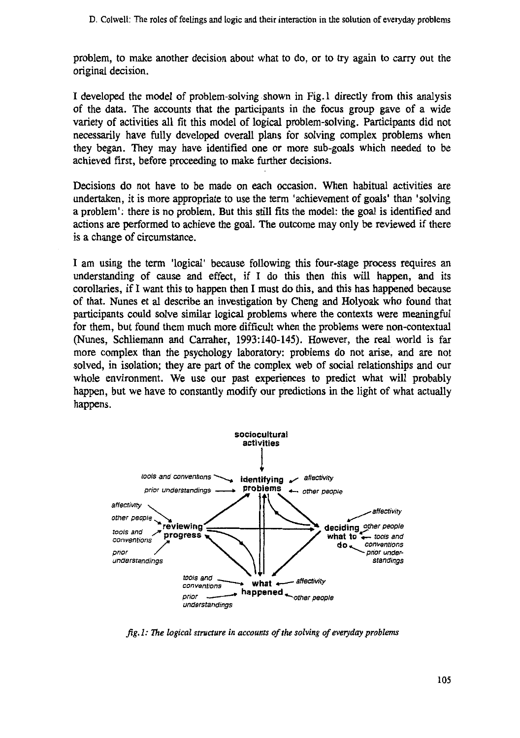problem, to make another decision about what to do, or to try again to carry out the original decision.

I developed the model of problem-solving shown in Fig.1 directly from this analysis of the data. The accounts that the participants in the focus group gave of a wide variety of activities all fit this model of logical problem-solving. Participants did not necessarily have fully developed overall plans for solving complex problems when they began. They may have identified one or more sub-goals which needed to be achieved first, before proceeding to make further decisions.

Decisions do not have to be made on each occasion. When habitual activities are undertaken, it is more appropriate to use the term 'achievement of goals' than 'solving a problem': there is no problem. But this still fits the model: the goal is identified and actions are performed to achieve the goal. The outcome may only be reviewed if there is a change of circumstance.

I am using the term 'logical' because following this four-stage process requires an understanding of cause and effect, if I do this then this will happen, and its corollaries, if I want this to happen then I must do this, and this has happened because of that. Nunes et al describe an investigation by Cheng and Holyoak who found that participants could solve similar logical problems where the contexts were meaningful for them, but found them much more difficult when the problems were non-contextual (Nunes, Schliemann and Carraher, 1993:140-145). However, the real world is far more complex than the psychology laboratory: problems do not arise, and are not solved, in isolation; they are part of the complex web of social relationships and our whole environment. We use our past experiences to predict what will probably happen, but we have to constantly modify our predictions in the light of what actually happens.



fig..1: The logical structure in accounts of the solving of everyday problems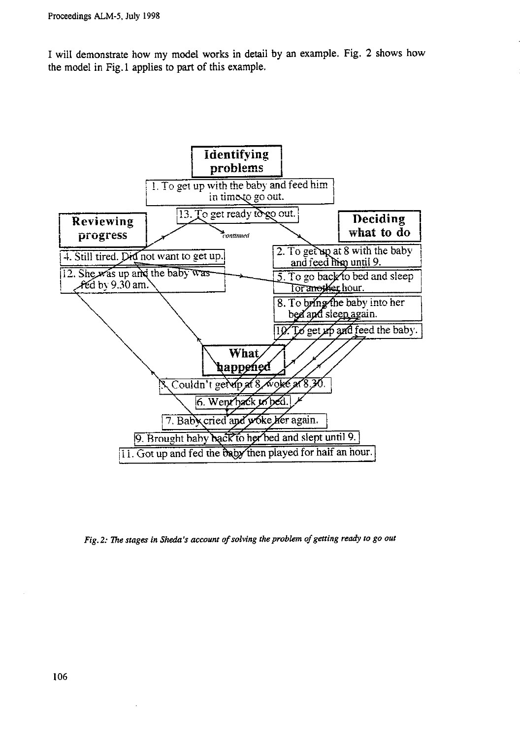I will demonstrate how my model works in detail by an example. Fig. 2 shows how the model in Fig.1 applies to part of this example.



*Fig. 2: The stages in Sheda's account of solving the problem of getting ready to go out*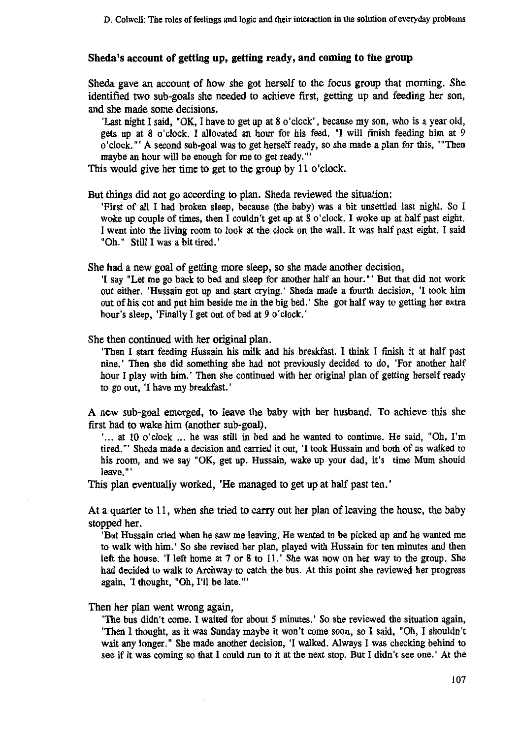#### **Sheda's account of getting up, getting ready, and coming to the group**

**Sheda gave an account of how she got herself to the focus group that morning. She identified two sub-goals she needed to achieve first, getting up and feeding her son, and she made some decisions.**

**'Last night I said, "OK, I have to get up at 8 o'clock", because my son, who is a year old, gets up at 8 o'clock. I allocated an hour for his feed. "I will finish feeding him at 9 o'clock."' A second sub-goal was to get herself ready, so she made a plan for this, "Then maybe an hour will be enough for me to get ready."'**

**This would give her time to get to the group by 11 o'clock.**

**But things did not go according to plan. Sheda reviewed the situation:**

**'First of all I had broken sleep, because (the baby) was a bit unsettled last night. So I woke up couple of times, then I couldn't get up at 8 o'clock. I woke up at half past eight. I went into the living room to look at the clock on the wall. It was half past eight. I said "Oh." Still I was a bit tired.'**

**She had a new** *goal* **of getting more sleep, so she made another decision,**

**'I say "Let me go back to bed and sleep for another half an hour."' But that did not work out either. 'Hussain got up and start crying.' Sheda made a fourth decision, 'I took him out of his cot and put him beside me in the big bed.' She got half way to getting her extra hour's sleep, 'Finally I get out of bed at 9 o'clock.'**

**She then continued with her original plan.**

**'Then I start feeding Hussain his milk and his breakfast. I think I finish it at half past nine.' Then she did something she had not previously decided to do, 'For another half hour I play with him.' Then she continued with her original plan of getting herself ready to go out, 'I have my breakfast.'**

**A new sub-goal emerged, to leave the baby with her husband. To achieve this she first had to wake him (another sub-goal).**

**'... at 10 o'clock ... he was still in bed and he wanted to continue. He said, "Oh, I'm tired."' Sheda made a decision and carried it out, 'I took Hussain and both of us walked to his room, and we say "OK, get up. Hussain, wake up your dad, it's time Mum should leave."'**

**This plan eventually worked, 'He managed to get up at half past ten.'**

**At a quarter to 11, when she tried to carry out her plan of leaving the house, the baby stopped her.**

**'But Hussain cried when he saw me leaving. He wanted to be picked up and he wanted me to walk with him.' So she revised her plan, played with Hussain for ten minutes and then left the house. 'I left home at 7 or 8 to 11.' She was now on her way to the group. She had decided to walk to Archway to catch the bus. At this point she reviewed her progress again, 'I thought, "Oh, I'll be late."'**

#### **Then her plan went wrong again,**

**'The bus didn't come. I waited for about 5 minutes.' So she reviewed the situation again, 'Then I thought, as it was Sunday maybe it won't come soon, so I said, "Oh, I shouldn't wait any longer." She made another decision, 'I walked. Always I was checking behind to see if it was coming so that I could run to it at the next stop. But I didn't see one.' At the**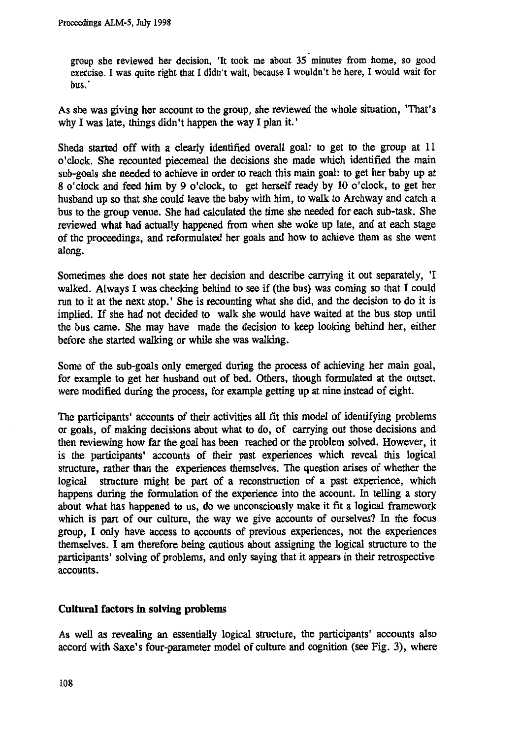group she reviewed her decision, 'It took me about 35 minutes from home, so good exercise. **I** was quite right that I didn't wait, because I wouldn't be here, I would wait for bus.'

As she **was giving her account to the group, she reviewed the whole situation, 'That's why I was late, things didn't happen the way I plan it.'**

**Sheda started off with a clearly identified overall goal: to get to the group at 11 o'clock. She recounted piecemeal the decisions she made which identified the main sub-goals she needed to achieve in order to reach this main goal: to get her baby up at 8 o'clock and feed him by 9 o'clock, to get herself ready by 10 o'clock, to get her husband up so that she could leave the baby with him, to walk to Archway and catch a bus to the group venue. She had calculated the time she needed for each sub-task. She reviewed what had actually happened from when she woke up late, and at each stage of the proceedings, and reformulated her goals and how to achieve them as she went along.**

**Sometimes she does not state her decision and describe carrying it out separately, 'I walked. Always I was checking behind to see if (the bus) was coming so that I could run to it at the next stop.' She is recounting what she did, and the decision to do it is implied. If she had not decided to walk she would have waited at the bus stop until the bus came. She may have made the decision to keep looking behind her, either before she started walking or while she was walking.**

**Some of the sub-goals only emerged during the process of achieving her main goal, for example to get her husband out of bed. Others, though formulated at the outset, were modified during the process, for example getting up at nine instead of eight.**

**The participants' accounts of their activities all fit this model of identifying problems or goals, of making decisions about what to do, of carrying out those decisions and then reviewing how far the goal has been reached or the problem solved. However, it is the participants' accounts of their past experiences which reveal this logical structure, rather than the experiences themselves. The question arises of whether the logical structure might be part of a reconstruction of a past experience, which happens during the formulation of the experience into the account. In telling a story about what has happened to us, do we unconsciously make it fit a logical framework which is part of our culture, the way we give accounts of ourselves? In the focus group, I only have access to accounts of previous experiences, not the experiences themselves. I am therefore being cautious about assigning the logical structure to the participants' solving of problems, and only saying that it appears in their retrospective accounts.**

# **Cultural factors in solving problems**

As well as **revealing an essentially logical structure, the participants' accounts also accord with Saxe's four-parameter model of culture and cognition (see Fig. 3), where**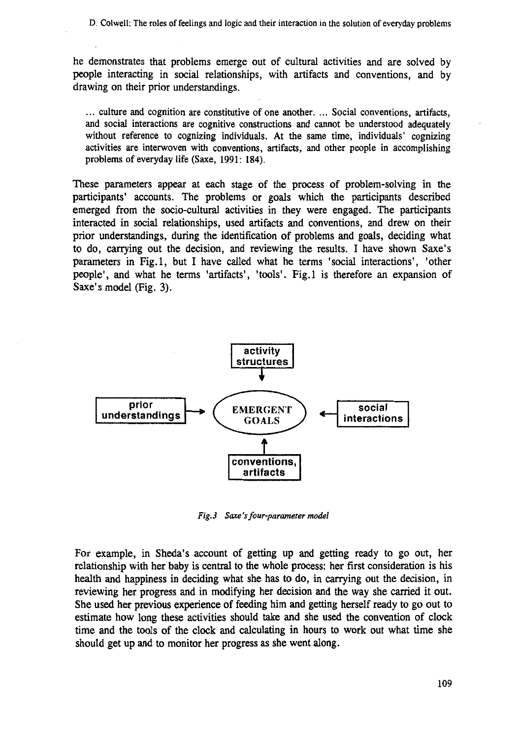he demonstrates that problems emerge out of cultural activities and are solved by people interacting in social relationships, with artifacts and conventions, and by drawing on their prior understandings.

... culture and cognition are constitutive of one another. ... Social conventions, artifacts, and social interactions are cognitive constructions and cannot be understood adequately without reference to cognizing individuals. At the same time, individuals' cognizing activities are interwoven with conventions, artifacts, and other people in accomplishing problems of everyday life (Saxe, 1991: 184).

These parameters appear at each stage of the process of problem-solving in the participants' accounts. The problems or goals which the participants described emerged from the socio-cultural activities in they were engaged. The participants interacted in social relationships, used artifacts and conventions, and drew on their prior understandings, during the identification of problems and goals, deciding what to do, carrying out the decision, and reviewing the results. I have shown Saxe's parameters in Fig.1, but I have called what he terms 'social interactions', 'other people', and what he terms 'artifacts', 'tools'. Fig.1 is therefore an expansion of Saxe's model (Fig. 3).



*Fig.3 Saxe's four-parameter model*

For example, in Sheda's account of getting up and getting ready to go out, her relationship with her baby is central to the whole process: her first consideration is his health and happiness in deciding what she has to do, in carrying out the decision, in reviewing her progress and in modifying her decision and the way she carried it out. She used her previous experience of feeding him and getting herself ready to go out to estimate how long these activities should take and she used the convention of clock time and the tools of the clock and calculating in hours to work out what time she should get up and to monitor her progress as she went along.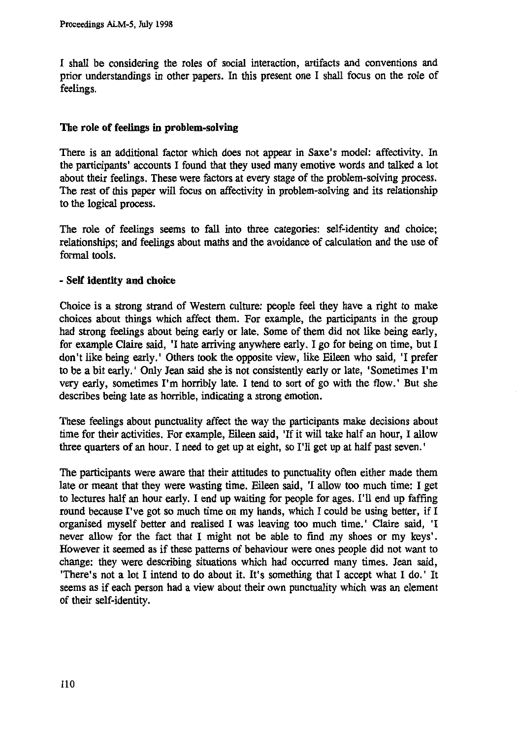I shall be considering the roles of social interaction, artifacts and conventions and prior understandings in other papers. In this present one I shall focus on the role of feelings.

# **The role of feelings in problem-solving**

There is an additional factor which does not appear in Saxe's model: affectivity. In the participants' accounts I found that they used many emotive words and talked a lot about their feelings. These were factors at every stage of the problem-solving process. The rest of this paper will focus on affectivity in problem-solving and its relationship to the logical process.

The role of feelings seems to fall into three categories: self-identity and choice; relationships; and feelings about maths and the avoidance of calculation and the use of formal tools.

# **- Self identity and choice**

Choice is a strong strand of Western culture: people feel they have a right to make choices about things which affect them. For example, the participants in the group had strong feelings about being early or late. Some of them did not like being early, for example Claire said, 'I hate arriving anywhere early. I go for being on time, but I don't like being early.' Others took the opposite view, like Eileen who said, 'I prefer to be a bit early.' Only Jean said she is not consistently early or late, 'Sometimes **I'm** very early, sometimes I'm horribly late. I tend to sort of go with the flow.' But she describes being late as horrible, indicating a strong emotion.

These feelings about punctuality affect the way the participants make decisions about time for their activities. For example, Eileen said, 'If it will take half an hour, I allow three quarters of an hour. I need to get up at eight, so I'll get up at half past seven.'

The participants were aware that their attitudes to punctuality often either made them late or meant that they were wasting time. Eileen said, 'I allow too much time: I get to lectures half an hour early. I end up waiting for people for ages. I'll end up faffing round because I've got so much time on my hands, which I could be using better, if I organised myself better and realised I was leaving too much time.' Claire said, 'I never allow for the fact that I might not be able to find my shoes or my keys'. However it seemed as if these patterns of behaviour were ones people did not want to change: they were describing situations which had occurred many times. Jean said, 'There's not a lot I intend to do about it. It's something that I accept what I do.' It seems as if each person had a view about their own punctuality which was an element of their self-identity.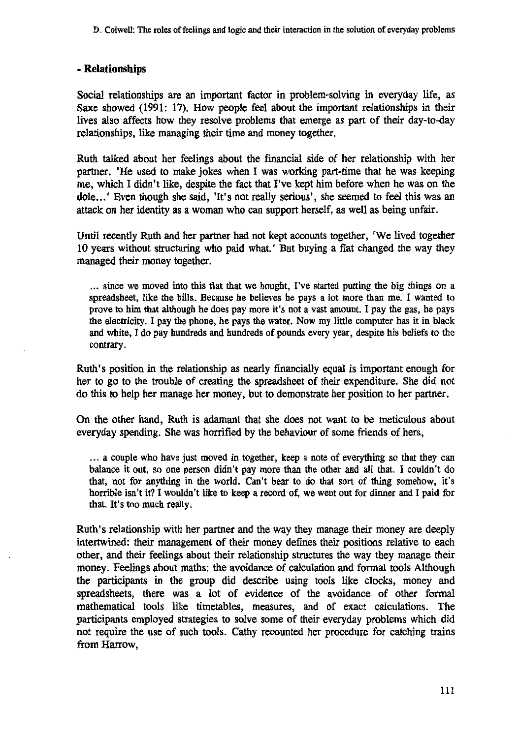# **- Relationships**

**Social relationships are an important factor in problem-solving in everyday life, as Saxe showed (1991: 17). How people feel about the important relationships in their lives also affects how they resolve problems that emerge as part of their day-to-day relationships, like managing their time and money together.**

**Ruth talked about her feelings about the financial side of her relationship with her partner. 'He used to make jokes when I was working part-time that he was keeping me, which I didn't like, despite the fact that I've kept him before when he was on the dole...' Even though she said, 'It's not really serious', she seemed to feel this was an attack on her identity as a woman who can support herself, as well as being unfair.**

**Until recently Ruth and her partner had not kept accounts together, 'We lived together 10 years without structuring who paid what.' But buying a flat changed the way they managed their money together.**

**... since we moved into this flat that we bought, I've started putting the big things on a spreadsheet, like the bills. Because he believes he pays a lot more than me. I wanted to prove to him that although he does pay more it's not a vast amount. I pay the** *gas,* **he pays the electricity. I pay the phone,** *he* **pays the water. Now my little computer has it in black and white, I do pay hundreds and hundreds of pounds every year, despite his beliefs to the contrary.**

**Ruth's position in the relationship as nearly financially equal is important enough for her to go to the trouble of creating the spreadsheet of their expenditure. She did not do this to help her manage her money, but to demonstrate her position to her partner.**

**On the other hand, Ruth is adamant that she does not want to be meticulous about everyday spending. She was horrified by the behaviour of some friends of hers,**

**... a couple who have just moved in together, keep a note of everything so that they can balance it out, so one person didn't pay more than the other and all that. I couldn't do that, not for anything in the world. Can't bear to do that sort of thing somehow, it's horrible isn't it? I wouldn't like to keep a record of, we went out for dinner and I paid for that. It's too much really.**

**Ruth's relationship with her partner and the way they manage their money are deeply intertwined: their management of their money defines their positions relative to each other, and their feelings about their relationship structures the way they manage their money. Feelings about maths: the avoidance of calculation and formal tools Although the participants in the group did describe using tools like clocks, money and spreadsheets, there was a lot of evidence of the avoidance of other formal mathematical tools like timetables, measures, and of exact calculations. The participants employed strategies to solve some of their everyday problems which did not require the use of such tools. Cathy recounted her procedure for catching trains from Harrow,**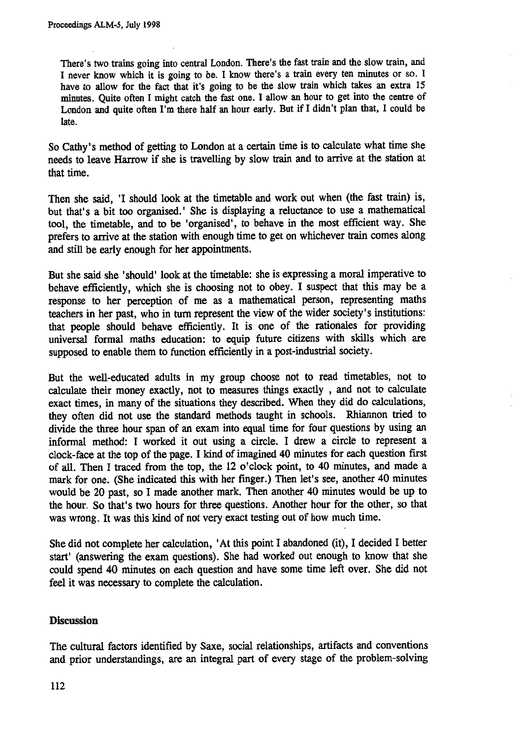There's two trains going into central London. There's the fast train and the slow train, and I never know which it is going to be. I know there's a train every ten minutes or so. I have to allow for the fact that it's going to be the slow train which takes an extra 15 minutes. Quite often I might catch the fast one. I allow an hour to get into the centre of London and quite often I'm there half an hour early. But if I didn't plan that, I could be late.

So Cathy's method of getting to London at a certain time is to calculate what time she needs to leave Harrow if she is travelling by slow train and to arrive at the station at that time.

Then she said, 'I should look at the timetable and work out when (the fast train) is, but that's a bit too organised.' She is displaying a reluctance to use a mathematical tool, the timetable, and to be 'organised', to behave in the most efficient way. She prefers to arrive at the station with enough time to get on whichever train comes along and still be early enough for her appointments.

But she said she 'should' look at the timetable: she is expressing a moral imperative to behave efficiently, which she is choosing not to obey. I suspect that this may be a response to her perception of me as a mathematical person, representing maths teachers in her past, who in turn represent the view of the wider society's institutions: that people should behave efficiently. It is one of the rationales for providing universal formal maths education: to equip future citizens with skills which are supposed to enable them to function efficiently in a post-industrial society.

But the well-educated adults in my group choose not to read timetables, not to calculate their money exactly, not to measures things exactly , and not to calculate exact times, in many of the situations they described. When they did do calculations, they often did not use the standard methods taught in schools. Rhiannon tried to divide the three hour span of an exam into equal time for four questions by using an informal method: I worked it out using a circle. I drew a circle to represent a clock-face at the top of the page. I kind of imagined 40 minutes for each question first of all. Then I traced from the top, the 12 o'clock point, to 40 minutes, and made a mark for one. (She indicated this with her finger.) Then let's see, another 40 minutes would be 20 past, so I made another mark. Then another 40 minutes would be up to the hour. So that's two hours for three questions. Another hour for the other, so that was wrong. It was this kind of not very exact testing out of how much time.

She did not complete her calculation, 'At this point I abandoned (it), I decided I better start' (answering the exam questions). She had worked out enough to know that she could spend 40 minutes on each question and have some time left over. She did not feel it was necessary to complete the calculation.

### **Discussion**

The cultural factors identified by Saxe, social relationships, artifacts and conventions and prior understandings, are an integral part of every stage of the problem-solving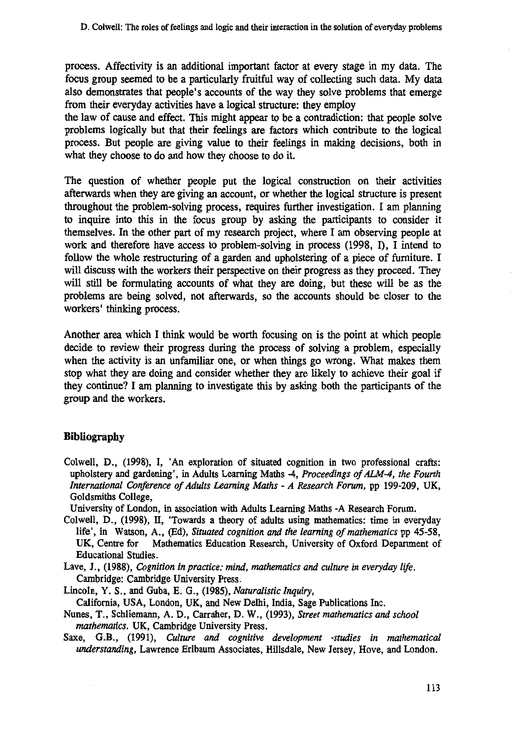process. Affectivity is an additional important factor at every stage in my data. The focus group seemed to be a particularly fruitful way of collecting such data. My data also demonstrates that people's accounts of the way they solve problems that emerge from their everyday activities have a logical structure: they employ

the law of cause and effect. This might appear to be a contradiction: that people solve problems logically but that their feelings are factors which contribute to the logical process. But people are giving value to their feelings in making decisions, both in what they choose to do and how they choose to do it.

The question of whether people put the logical construction on their activities afterwards when they are giving an account, or whether the logical structure is present throughout the problem-solving process, requires further investigation. I am planning to inquire into this in the focus group by asking the participants to consider it themselves. In *the* other part of my research project, where I am observing people at work and therefore have access to problem-solving in process (1998, I), I intend to follow the whole restructuring of a garden and upholstering of a piece of furniture. I will discuss with the workers their perspective on their progress as they proceed. They will still be formulating accounts of what they are doing, but these will be as the problems are being solved, not afterwards, so the accounts should be closer to the workers' thinking process.

Another area which I think would be worth focusing on is the point at which people decide to review their progress during the process of solving a problem, especially when the activity is an unfamiliar one, or when things go wrong. What makes them stop what they are doing and consider whether they are likely to achieve their goal if they continue? I am planning to investigate this by asking both the participants of the group and the workers.

### **Bibliography**

- Colwell, D., (1998), **I,** 'An exploration of situated cognition in two professional crafts: upholstery and gardening', in Adults Learning Maths -4, *Proceedings of ALM-4, the Fourth International Conference of Adults Learning Maths - A Research Forum,* pp 199-209, UK, Goldsmiths College,
- University of London, in association with Adults Learning Maths -A Research Forum.
- Colwell, D., (1998), II, 'Towards a theory of adults using mathematics: time in everyday life', in Watson, A., (Ed), *Situated cognition and the learning of mathematics* pp 45-58, UK, Centre for Mathematics Education Research, University of Oxford Department of Educational Studies.
- Lave, J., (1988), *Cognition in practice: mind, mathematics and culture in everyday life.* Cambridge: Cambridge University Press.
- Lincoln, Y. S., and Guba, E. G., (1985), *Naturalistic Inquiry,*
- California, USA, London, UK, and New Delhi, India, Sage Publications Inc.
- Nunes, T., Schliemann, A. D., Carraher, D. W., (1993), *Street mathematics and school mathematics.* UK, Cambridge University Press.
- Saxe, G.B., (1991), *Culture and cognitive development -studies in mathematical understanding,* Lawrence Erlbaum Associates, Hillsdale, New Jersey, Hove, and London.